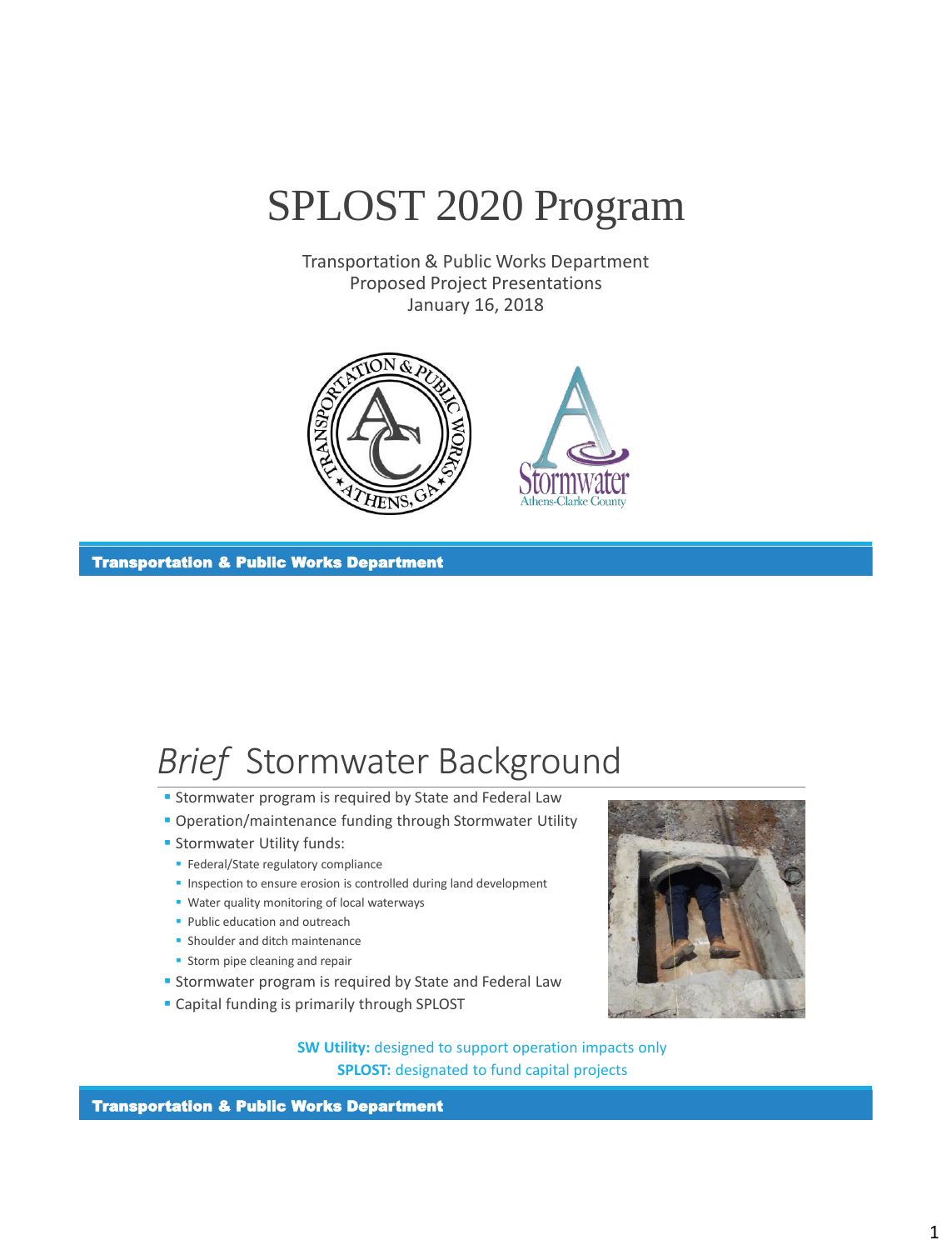

Transportation & Public Works Department Proposed Project Presentations January 16, 2018



Transportation & Public Works Department

### *Brief* Stormwater Background

- **Stormwater program is required by State and Federal Law**
- **Operation/maintenance funding through Stormwater Utility**
- **Stormwater Utility funds:** 
	- **Federal/State regulatory compliance**
	- **Inspection to ensure erosion is controlled during land development**
	- **Water quality monitoring of local waterways**
	- **Public education and outreach**
	- **Shoulder and ditch maintenance**
	- **Storm pipe cleaning and repair**
- **Stormwater program is required by State and Federal Law**
- **Capital funding is primarily through SPLOST**

**SW Utility:** designed to support operation impacts only **SPLOST:** designated to fund capital projects

Transportation & Public Works Department

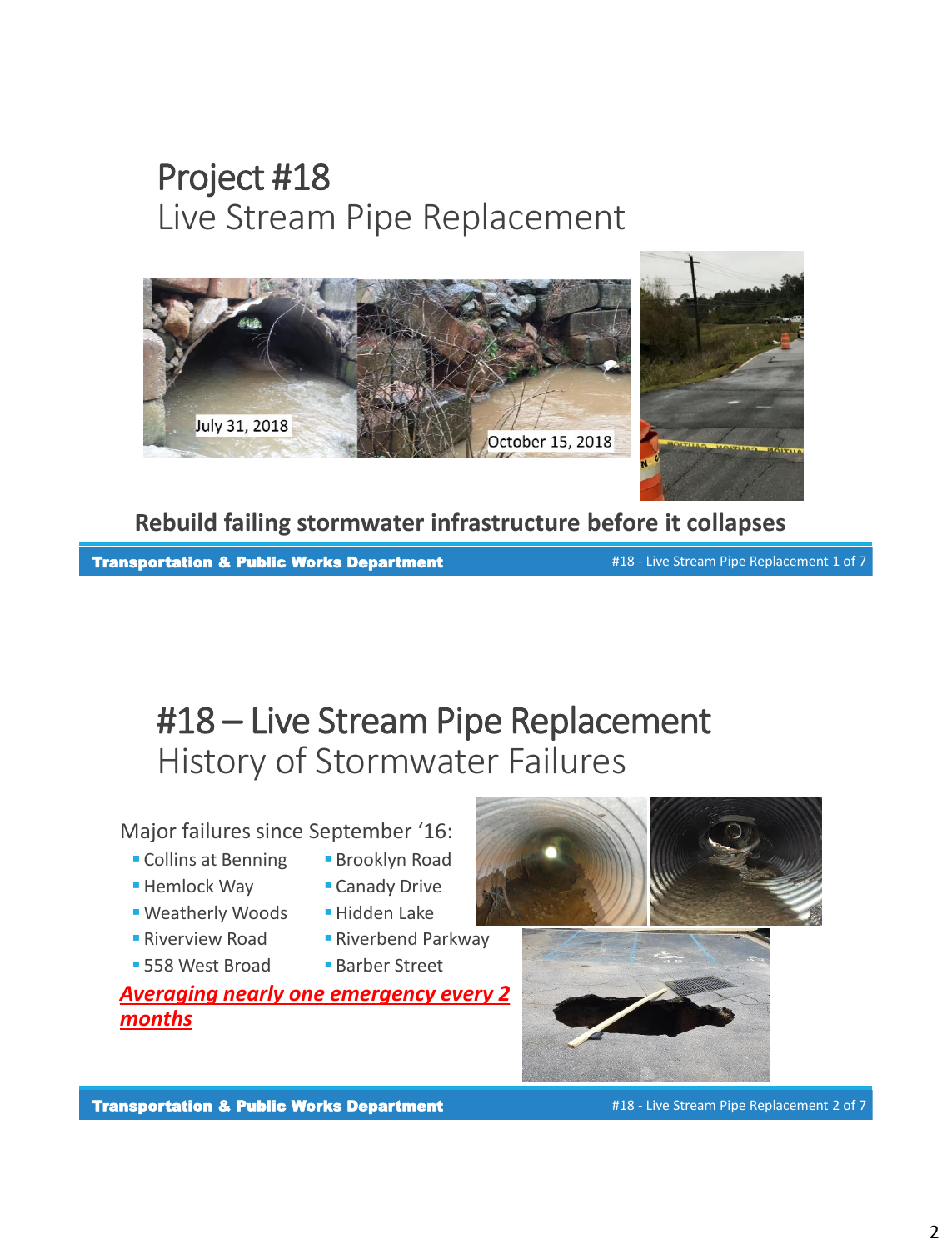## Project #18 Live Stream Pipe Replacement



**Rebuild failing stormwater infrastructure before it collapses**

Transportation & Public Works Department #18 - Live Stream Pipe Replacement 1 of 7

#18 – Live Stream Pipe Replacement History of Stormwater Failures

Major failures since September '16:

- **Collins at Benning Brooklyn Road**
- Hemlock Way
- **Weatherly Woods Fundden Lake**
- Riverview Road
- 558 West Broad
- 
- Canady Drive
	-
	- **Riverbend Parkway**
	- Barber Street

*Averaging nearly one emergency every 2 months*





#18 - Live Stream Pipe Replacement 2 of 7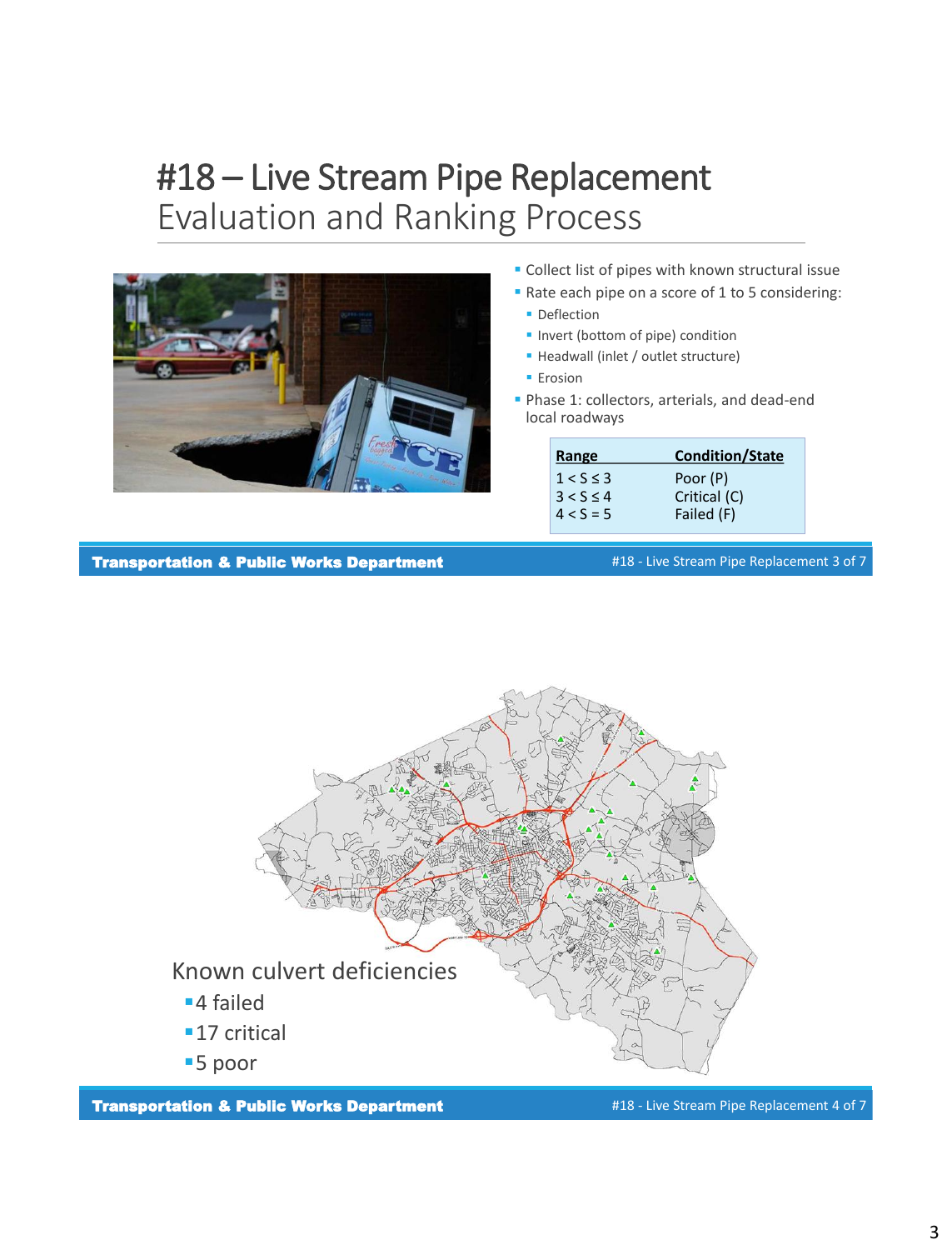## #18 – Live Stream Pipe Replacement Evaluation and Ranking Process



- **Collect list of pipes with known structural issue**
- Rate each pipe on a score of 1 to 5 considering:
	- **Deflection**
	- **Invert (bottom of pipe) condition**
	- Headwall (inlet / outlet structure)
	- **Erosion**
- **Phase 1: collectors, arterials, and dead-end** local roadways

| Range          | <b>Condition/State</b> |
|----------------|------------------------|
| $1 < S \leq 3$ | Poor (P)               |
| $3 < S \leq 4$ | Critical (C)           |
| $4 < S = 5$    | Failed (F)             |

Transportation & Public Works Department

#18 - Live Stream Pipe Replacement 3 of 7



Transportation & Public Works Department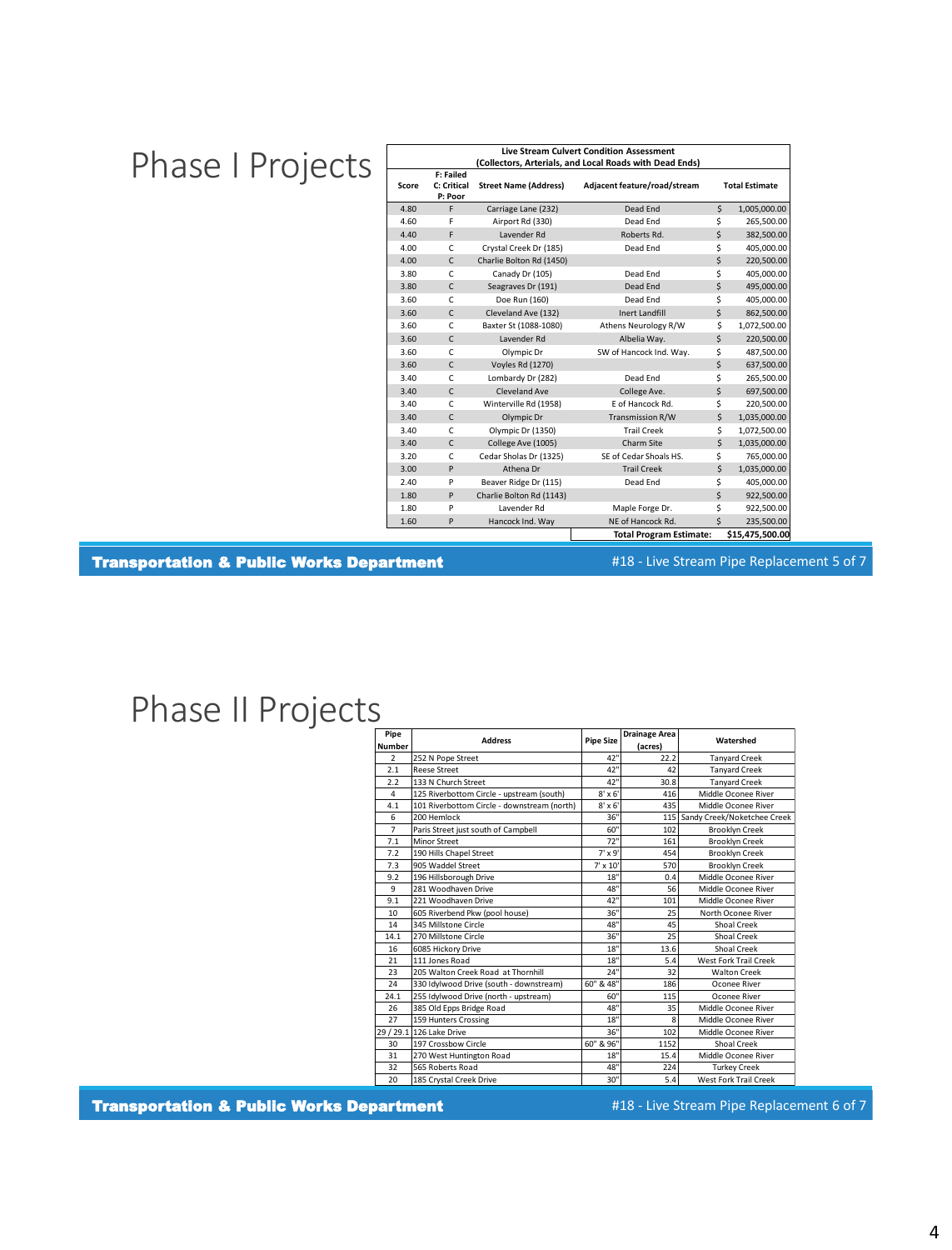# Phase I Projects |

| <b>Live Stream Culvert Condition Assessment</b><br>(Collectors, Arterials, and Local Roads with Dead Ends) |                                     |                              |                                |                       |                 |  |  |
|------------------------------------------------------------------------------------------------------------|-------------------------------------|------------------------------|--------------------------------|-----------------------|-----------------|--|--|
| Score                                                                                                      | F: Failed<br>C: Critical<br>P: Poor | <b>Street Name (Address)</b> | Adjacent feature/road/stream   | <b>Total Estimate</b> |                 |  |  |
| 4.80                                                                                                       | F                                   | Carriage Lane (232)          | Dead End                       | \$                    | 1,005,000.00    |  |  |
| 4.60                                                                                                       | F                                   | Airport Rd (330)             | Dead Fnd                       | \$                    | 265.500.00      |  |  |
| 4.40                                                                                                       | F                                   | Lavender Rd                  | Roberts Rd.                    | \$                    | 382,500.00      |  |  |
| 4.00                                                                                                       | C                                   | Crystal Creek Dr (185)       | Dead End                       | \$                    | 405,000.00      |  |  |
| 4.00                                                                                                       | $\mathsf{C}$                        | Charlie Bolton Rd (1450)     |                                | \$                    | 220.500.00      |  |  |
| 3.80                                                                                                       | C                                   | Canady Dr (105)              | Dead End                       | \$                    | 405.000.00      |  |  |
| 3.80                                                                                                       | C                                   | Seagraves Dr (191)           | Dead End                       | \$                    | 495,000.00      |  |  |
| 3.60                                                                                                       | C                                   | Doe Run (160)                | Dead End                       | \$                    | 405,000.00      |  |  |
| 3.60                                                                                                       | C                                   | Cleveland Ave (132)          | <b>Inert Landfill</b>          | \$                    | 862.500.00      |  |  |
| 3.60                                                                                                       | C                                   | Baxter St (1088-1080)        | Athens Neurology R/W           | \$                    | 1,072,500.00    |  |  |
| 3.60                                                                                                       | C                                   | Lavender Rd                  | Albelia Way.                   | \$                    | 220,500.00      |  |  |
| 3.60                                                                                                       | C                                   | Olympic Dr                   | SW of Hancock Ind. Way.        | \$                    | 487,500.00      |  |  |
| 3.60                                                                                                       | $\mathsf{C}$                        | <b>Voyles Rd (1270)</b>      |                                | \$                    | 637,500.00      |  |  |
| 3.40                                                                                                       | C                                   | Lombardy Dr (282)            | Dead End                       | \$                    | 265,500.00      |  |  |
| 3.40                                                                                                       | C                                   | Cleveland Ave                | College Ave.                   |                       | 697,500.00      |  |  |
| 3.40                                                                                                       | C                                   | Winterville Rd (1958)        | E of Hancock Rd.               | \$                    | 220,500.00      |  |  |
| 3.40                                                                                                       | C                                   | Olympic Dr                   | <b>Transmission R/W</b>        | \$                    | 1,035,000.00    |  |  |
| 3.40                                                                                                       | C                                   | Olympic Dr (1350)            | <b>Trail Creek</b>             |                       | 1,072,500.00    |  |  |
| 3.40                                                                                                       | $\mathsf{C}$                        | College Ave (1005)           | Charm Site                     | \$                    | 1,035,000.00    |  |  |
| 3.20                                                                                                       | C                                   | Cedar Sholas Dr (1325)       | SE of Cedar Shoals HS.         |                       | 765,000.00      |  |  |
| 3.00                                                                                                       | P                                   | Athena Dr                    | <b>Trail Creek</b>             |                       | 1,035,000.00    |  |  |
| 2.40                                                                                                       | P                                   | Beaver Ridge Dr (115)        | \$<br>Dead End                 |                       | 405,000.00      |  |  |
| 1.80                                                                                                       | P                                   | Charlie Bolton Rd (1143)     |                                | \$                    | 922,500.00      |  |  |
| 1.80                                                                                                       | P                                   | Lavender Rd                  | Maple Forge Dr.                | \$                    | 922,500.00      |  |  |
| 1.60                                                                                                       | P                                   | Hancock Ind. Way             | NF of Hancock Rd.              | $\zeta$               | 235,500.00      |  |  |
|                                                                                                            |                                     |                              | <b>Total Program Estimate:</b> |                       | \$15,475,500.00 |  |  |

Transportation & Public Works Department

#18 - Live Stream Pipe Replacement 5 of 7

### Phase II Projects

| Pipe           | <b>Address</b>                              | <b>Pipe Size</b> | <b>Drainage Area</b> | Watershed                   |  |
|----------------|---------------------------------------------|------------------|----------------------|-----------------------------|--|
| <b>Number</b>  |                                             |                  | (acres)              |                             |  |
| $\overline{2}$ | 252 N Pope Street                           | 42"              | 22.2                 | <b>Tanyard Creek</b>        |  |
| 2.1            | <b>Reese Street</b>                         | 42"              | 42                   | <b>Tanyard Creek</b>        |  |
| 2.2            | 133 N Church Street                         | 42"              | 30.8                 | <b>Tanyard Creek</b>        |  |
| 4              | 125 Riverbottom Circle - upstream (south)   | $8' \times 6'$   | 416                  | Middle Oconee River         |  |
| 4.1            | 101 Riverbottom Circle - downstream (north) | $8' \times 6'$   | 435                  | Middle Oconee River         |  |
| 6              | 200 Hemlock                                 | 36"              | 115                  | Sandy Creek/Noketchee Creek |  |
| $\overline{7}$ | Paris Street just south of Campbell         | 60"              | 102                  | <b>Brooklyn Creek</b>       |  |
| 7.1            | Minor Street                                | 72"              | 161                  | <b>Brooklyn Creek</b>       |  |
| 7.2            | 190 Hills Chapel Street                     | $7' \times 9'$   | 454                  | <b>Brooklyn Creek</b>       |  |
| 7.3            | 905 Waddel Street                           | $7' \times 10'$  | 570                  | <b>Brooklyn Creek</b>       |  |
| 9.2            | 196 Hillsborough Drive                      | 18"              | 0.4                  | Middle Oconee River         |  |
| 9              | 281 Woodhaven Drive                         | 48"              | 56                   | Middle Oconee River         |  |
| 9.1            | 221 Woodhaven Drive                         | 42"              | 101                  | Middle Oconee River         |  |
| 10             | 605 Riverbend Pkw (pool house)              | 36"              | 25                   | North Oconee River          |  |
| 14             | 345 Millstone Circle                        | 48"              | 45                   | Shoal Creek                 |  |
| 14.1           | 270 Millstone Circle                        | 36"              | 25                   | Shoal Creek                 |  |
| 16             | 6085 Hickory Drive                          | 18"              | 13.6                 | Shoal Creek                 |  |
| 21             | 111 Jones Road                              | 18"              | 5.4                  | West Fork Trail Creek       |  |
| 23             | 205 Walton Creek Road at Thornhill          | 24"              | 32                   | <b>Walton Creek</b>         |  |
| 24             | 330 Idylwood Drive (south - downstream)     | 60" & 48"        | 186                  | Oconee River                |  |
| 24.1           | 255 Idylwood Drive (north - upstream)       | 60"              | 115                  | Oconee River                |  |
| 26             | 385 Old Epps Bridge Road                    | 48"              | 35                   | Middle Oconee River         |  |
| 27             | 159 Hunters Crossing                        | 18"              | 8                    | Middle Oconee River         |  |
|                | 29 / 29.1 126 Lake Drive                    | 36"              | 102                  | Middle Oconee River         |  |
| 30             | 197 Crossbow Circle                         | 60" & 96"        | 1152                 | Shoal Creek                 |  |
| 31             | 270 West Huntington Road                    | 18"              | 15.4                 | Middle Oconee River         |  |
| 32             | 565 Roberts Road                            | 48"              | 224                  | <b>Turkey Creek</b>         |  |
| 20             | 185 Crystal Creek Drive                     | 30"              | 5.4                  | West Fork Trail Creek       |  |

Transportation & Public Works Department

#18 - Live Stream Pipe Replacement 6 of 7